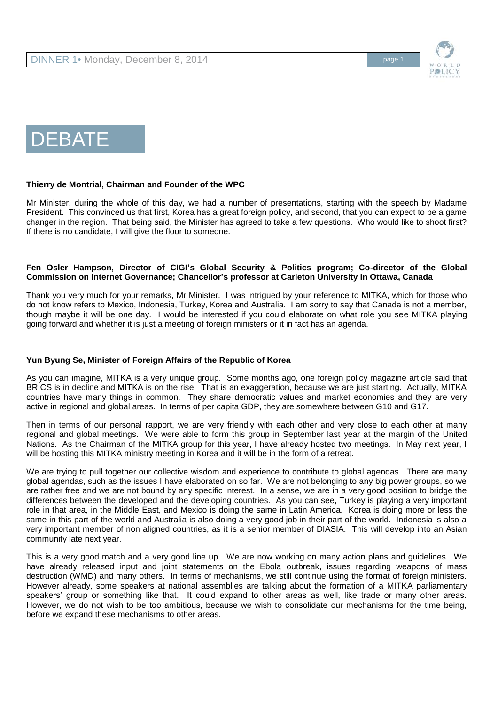

# DEBATE

#### **Thierry de Montrial, Chairman and Founder of the WPC**

Mr Minister, during the whole of this day, we had a number of presentations, starting with the speech by Madame President. This convinced us that first, Korea has a great foreign policy, and second, that you can expect to be a game changer in the region. That being said, the Minister has agreed to take a few questions. Who would like to shoot first? If there is no candidate, I will give the floor to someone.

## **Fen Osler Hampson, Director of CIGI's Global Security & Politics program; Co-director of the Global Commission on Internet Governance; Chancellor's professor at Carleton University in Ottawa, Canada**

Thank you very much for your remarks, Mr Minister. I was intrigued by your reference to MITKA, which for those who do not know refers to Mexico, Indonesia, Turkey, Korea and Australia. I am sorry to say that Canada is not a member, though maybe it will be one day. I would be interested if you could elaborate on what role you see MITKA playing going forward and whether it is just a meeting of foreign ministers or it in fact has an agenda.

#### **Yun Byung Se, Minister of Foreign Affairs of the Republic of Korea**

As you can imagine, MITKA is a very unique group. Some months ago, one foreign policy magazine article said that BRICS is in decline and MITKA is on the rise. That is an exaggeration, because we are just starting. Actually, MITKA countries have many things in common. They share democratic values and market economies and they are very active in regional and global areas. In terms of per capita GDP, they are somewhere between G10 and G17.

Then in terms of our personal rapport, we are very friendly with each other and very close to each other at many regional and global meetings. We were able to form this group in September last year at the margin of the United Nations. As the Chairman of the MITKA group for this year, I have already hosted two meetings. In May next year, I will be hosting this MITKA ministry meeting in Korea and it will be in the form of a retreat.

We are trying to pull together our collective wisdom and experience to contribute to global agendas. There are many global agendas, such as the issues I have elaborated on so far. We are not belonging to any big power groups, so we are rather free and we are not bound by any specific interest. In a sense, we are in a very good position to bridge the differences between the developed and the developing countries. As you can see, Turkey is playing a very important role in that area, in the Middle East, and Mexico is doing the same in Latin America. Korea is doing more or less the same in this part of the world and Australia is also doing a very good job in their part of the world. Indonesia is also a very important member of non aligned countries, as it is a senior member of DIASIA. This will develop into an Asian community late next year.

This is a very good match and a very good line up. We are now working on many action plans and guidelines. We have already released input and joint statements on the Ebola outbreak, issues regarding weapons of mass destruction (WMD) and many others. In terms of mechanisms, we still continue using the format of foreign ministers. However already, some speakers at national assemblies are talking about the formation of a MITKA parliamentary speakers' group or something like that. It could expand to other areas as well, like trade or many other areas. However, we do not wish to be too ambitious, because we wish to consolidate our mechanisms for the time being, before we expand these mechanisms to other areas.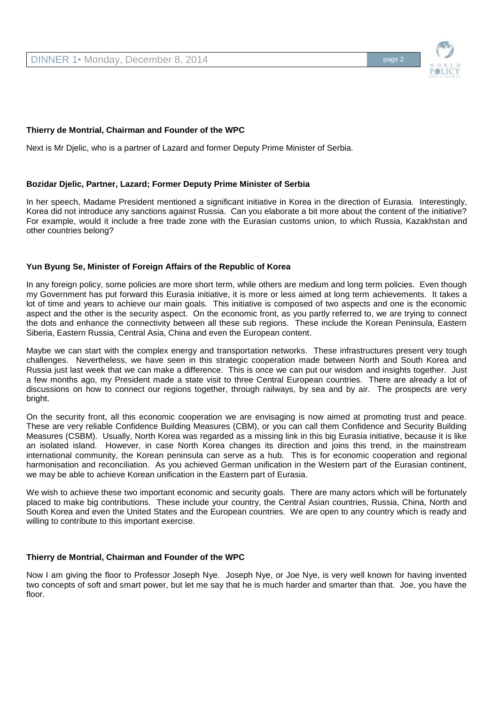

# **Thierry de Montrial, Chairman and Founder of the WPC**

Next is Mr Djelic, who is a partner of Lazard and former Deputy Prime Minister of Serbia.

## **Bozidar Djelic, Partner, Lazard; Former Deputy Prime Minister of Serbia**

In her speech, Madame President mentioned a significant initiative in Korea in the direction of Eurasia. Interestingly, Korea did not introduce any sanctions against Russia. Can you elaborate a bit more about the content of the initiative? For example, would it include a free trade zone with the Eurasian customs union, to which Russia, Kazakhstan and other countries belong?

## **Yun Byung Se, Minister of Foreign Affairs of the Republic of Korea**

In any foreign policy, some policies are more short term, while others are medium and long term policies. Even though my Government has put forward this Eurasia initiative, it is more or less aimed at long term achievements. It takes a lot of time and years to achieve our main goals. This initiative is composed of two aspects and one is the economic aspect and the other is the security aspect. On the economic front, as you partly referred to, we are trying to connect the dots and enhance the connectivity between all these sub regions. These include the Korean Peninsula, Eastern Siberia, Eastern Russia, Central Asia, China and even the European content.

Maybe we can start with the complex energy and transportation networks. These infrastructures present very tough challenges. Nevertheless, we have seen in this strategic cooperation made between North and South Korea and Russia just last week that we can make a difference. This is once we can put our wisdom and insights together. Just a few months ago, my President made a state visit to three Central European countries. There are already a lot of discussions on how to connect our regions together, through railways, by sea and by air. The prospects are very bright.

On the security front, all this economic cooperation we are envisaging is now aimed at promoting trust and peace. These are very reliable Confidence Building Measures (CBM), or you can call them Confidence and Security Building Measures (CSBM). Usually, North Korea was regarded as a missing link in this big Eurasia initiative, because it is like an isolated island. However, in case North Korea changes its direction and joins this trend, in the mainstream international community, the Korean peninsula can serve as a hub. This is for economic cooperation and regional harmonisation and reconciliation. As you achieved German unification in the Western part of the Eurasian continent, we may be able to achieve Korean unification in the Eastern part of Eurasia.

We wish to achieve these two important economic and security goals. There are many actors which will be fortunately placed to make big contributions. These include your country, the Central Asian countries, Russia, China, North and South Korea and even the United States and the European countries. We are open to any country which is ready and willing to contribute to this important exercise.

# **Thierry de Montrial, Chairman and Founder of the WPC**

Now I am giving the floor to Professor Joseph Nye. Joseph Nye, or Joe Nye, is very well known for having invented two concepts of soft and smart power, but let me say that he is much harder and smarter than that. Joe, you have the floor.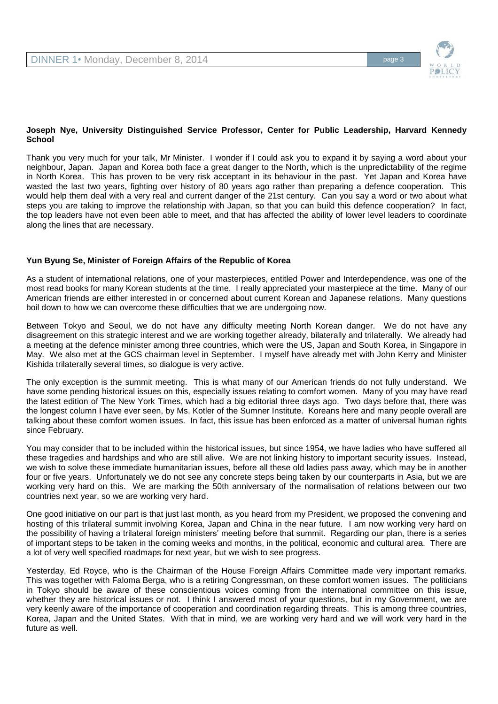

## **Joseph Nye, University Distinguished Service Professor, Center for Public Leadership, Harvard Kennedy School**

Thank you very much for your talk, Mr Minister. I wonder if I could ask you to expand it by saying a word about your neighbour, Japan. Japan and Korea both face a great danger to the North, which is the unpredictability of the regime in North Korea. This has proven to be very risk acceptant in its behaviour in the past. Yet Japan and Korea have wasted the last two years, fighting over history of 80 years ago rather than preparing a defence cooperation. This would help them deal with a very real and current danger of the 21st century. Can you say a word or two about what steps you are taking to improve the relationship with Japan, so that you can build this defence cooperation? In fact, the top leaders have not even been able to meet, and that has affected the ability of lower level leaders to coordinate along the lines that are necessary.

# **Yun Byung Se, Minister of Foreign Affairs of the Republic of Korea**

As a student of international relations, one of your masterpieces, entitled Power and Interdependence, was one of the most read books for many Korean students at the time. I really appreciated your masterpiece at the time. Many of our American friends are either interested in or concerned about current Korean and Japanese relations. Many questions boil down to how we can overcome these difficulties that we are undergoing now.

Between Tokyo and Seoul, we do not have any difficulty meeting North Korean danger. We do not have any disagreement on this strategic interest and we are working together already, bilaterally and trilaterally. We already had a meeting at the defence minister among three countries, which were the US, Japan and South Korea, in Singapore in May. We also met at the GCS chairman level in September. I myself have already met with John Kerry and Minister Kishida trilaterally several times, so dialogue is very active.

The only exception is the summit meeting. This is what many of our American friends do not fully understand. We have some pending historical issues on this, especially issues relating to comfort women. Many of you may have read the latest edition of The New York Times, which had a big editorial three days ago. Two days before that, there was the longest column I have ever seen, by Ms. Kotler of the Sumner Institute. Koreans here and many people overall are talking about these comfort women issues. In fact, this issue has been enforced as a matter of universal human rights since February.

You may consider that to be included within the historical issues, but since 1954, we have ladies who have suffered all these tragedies and hardships and who are still alive. We are not linking history to important security issues. Instead, we wish to solve these immediate humanitarian issues, before all these old ladies pass away, which may be in another four or five years. Unfortunately we do not see any concrete steps being taken by our counterparts in Asia, but we are working very hard on this. We are marking the 50th anniversary of the normalisation of relations between our two countries next year, so we are working very hard.

One good initiative on our part is that just last month, as you heard from my President, we proposed the convening and hosting of this trilateral summit involving Korea, Japan and China in the near future. I am now working very hard on the possibility of having a trilateral foreign ministers' meeting before that summit. Regarding our plan, there is a series of important steps to be taken in the coming weeks and months, in the political, economic and cultural area. There are a lot of very well specified roadmaps for next year, but we wish to see progress.

Yesterday, Ed Royce, who is the Chairman of the House Foreign Affairs Committee made very important remarks. This was together with Faloma Berga, who is a retiring Congressman, on these comfort women issues. The politicians in Tokyo should be aware of these conscientious voices coming from the international committee on this issue, whether they are historical issues or not. I think I answered most of your questions, but in my Government, we are very keenly aware of the importance of cooperation and coordination regarding threats. This is among three countries, Korea, Japan and the United States. With that in mind, we are working very hard and we will work very hard in the future as well.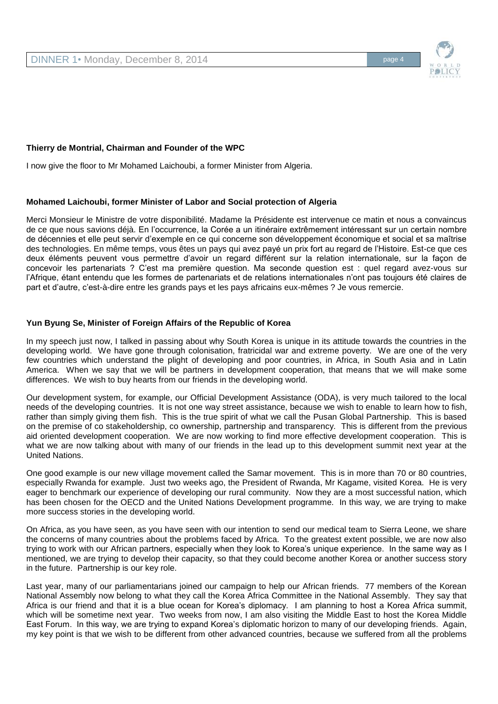

## **Thierry de Montrial, Chairman and Founder of the WPC**

I now give the floor to Mr Mohamed Laichoubi, a former Minister from Algeria.

## **Mohamed Laichoubi, former Minister of Labor and Social protection of Algeria**

Merci Monsieur le Ministre de votre disponibilité. Madame la Présidente est intervenue ce matin et nous a convaincus de ce que nous savions déjà. En l'occurrence, la Corée a un itinéraire extrêmement intéressant sur un certain nombre de décennies et elle peut servir d'exemple en ce qui concerne son développement économique et social et sa maîtrise des technologies. En même temps, vous êtes un pays qui avez payé un prix fort au regard de l'Histoire. Est-ce que ces deux éléments peuvent vous permettre d'avoir un regard différent sur la relation internationale, sur la façon de concevoir les partenariats ? C'est ma première question. Ma seconde question est : quel regard avez-vous sur l'Afrique, étant entendu que les formes de partenariats et de relations internationales n'ont pas toujours été claires de part et d'autre, c'est-à-dire entre les grands pays et les pays africains eux-mêmes ? Je vous remercie.

# **Yun Byung Se, Minister of Foreign Affairs of the Republic of Korea**

In my speech just now, I talked in passing about why South Korea is unique in its attitude towards the countries in the developing world. We have gone through colonisation, fratricidal war and extreme poverty. We are one of the very few countries which understand the plight of developing and poor countries, in Africa, in South Asia and in Latin America. When we say that we will be partners in development cooperation, that means that we will make some differences. We wish to buy hearts from our friends in the developing world.

Our development system, for example, our Official Development Assistance (ODA), is very much tailored to the local needs of the developing countries. It is not one way street assistance, because we wish to enable to learn how to fish, rather than simply giving them fish. This is the true spirit of what we call the Pusan Global Partnership. This is based on the premise of co stakeholdership, co ownership, partnership and transparency. This is different from the previous aid oriented development cooperation. We are now working to find more effective development cooperation. This is what we are now talking about with many of our friends in the lead up to this development summit next year at the United Nations.

One good example is our new village movement called the Samar movement. This is in more than 70 or 80 countries, especially Rwanda for example. Just two weeks ago, the President of Rwanda, Mr Kagame, visited Korea. He is very eager to benchmark our experience of developing our rural community. Now they are a most successful nation, which has been chosen for the OECD and the United Nations Development programme. In this way, we are trying to make more success stories in the developing world.

On Africa, as you have seen, as you have seen with our intention to send our medical team to Sierra Leone, we share the concerns of many countries about the problems faced by Africa. To the greatest extent possible, we are now also trying to work with our African partners, especially when they look to Korea's unique experience. In the same way as I mentioned, we are trying to develop their capacity, so that they could become another Korea or another success story in the future. Partnership is our key role.

Last year, many of our parliamentarians joined our campaign to help our African friends. 77 members of the Korean National Assembly now belong to what they call the Korea Africa Committee in the National Assembly. They say that Africa is our friend and that it is a blue ocean for Korea's diplomacy. I am planning to host a Korea Africa summit, which will be sometime next year. Two weeks from now, I am also visiting the Middle East to host the Korea Middle East Forum. In this way, we are trying to expand Korea's diplomatic horizon to many of our developing friends. Again, my key point is that we wish to be different from other advanced countries, because we suffered from all the problems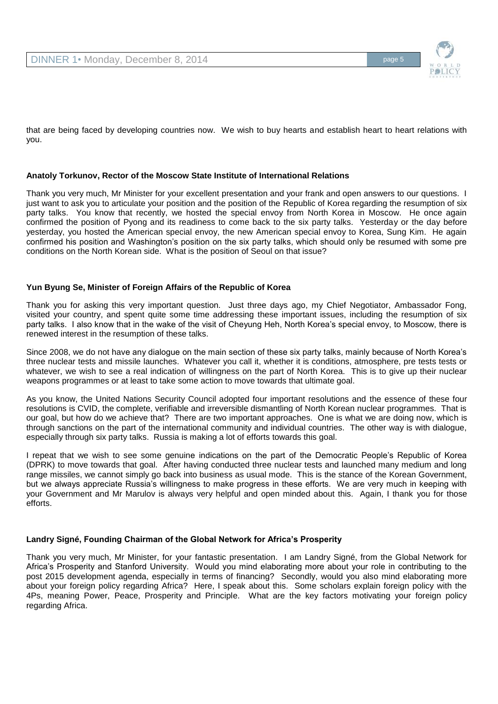

that are being faced by developing countries now. We wish to buy hearts and establish heart to heart relations with you.

## **Anatoly Torkunov, Rector of the Moscow State Institute of International Relations**

Thank you very much, Mr Minister for your excellent presentation and your frank and open answers to our questions. I just want to ask you to articulate your position and the position of the Republic of Korea regarding the resumption of six party talks. You know that recently, we hosted the special envoy from North Korea in Moscow. He once again confirmed the position of Pyong and its readiness to come back to the six party talks. Yesterday or the day before yesterday, you hosted the American special envoy, the new American special envoy to Korea, Sung Kim. He again confirmed his position and Washington's position on the six party talks, which should only be resumed with some pre conditions on the North Korean side. What is the position of Seoul on that issue?

## **Yun Byung Se, Minister of Foreign Affairs of the Republic of Korea**

Thank you for asking this very important question. Just three days ago, my Chief Negotiator, Ambassador Fong, visited your country, and spent quite some time addressing these important issues, including the resumption of six party talks. I also know that in the wake of the visit of Cheyung Heh, North Korea's special envoy, to Moscow, there is renewed interest in the resumption of these talks.

Since 2008, we do not have any dialogue on the main section of these six party talks, mainly because of North Korea's three nuclear tests and missile launches. Whatever you call it, whether it is conditions, atmosphere, pre tests tests or whatever, we wish to see a real indication of willingness on the part of North Korea. This is to give up their nuclear weapons programmes or at least to take some action to move towards that ultimate goal.

As you know, the United Nations Security Council adopted four important resolutions and the essence of these four resolutions is CVID, the complete, verifiable and irreversible dismantling of North Korean nuclear programmes. That is our goal, but how do we achieve that? There are two important approaches. One is what we are doing now, which is through sanctions on the part of the international community and individual countries. The other way is with dialogue, especially through six party talks. Russia is making a lot of efforts towards this goal.

I repeat that we wish to see some genuine indications on the part of the Democratic People's Republic of Korea (DPRK) to move towards that goal. After having conducted three nuclear tests and launched many medium and long range missiles, we cannot simply go back into business as usual mode. This is the stance of the Korean Government, but we always appreciate Russia's willingness to make progress in these efforts. We are very much in keeping with your Government and Mr Marulov is always very helpful and open minded about this. Again, I thank you for those efforts.

#### **Landry Signé, Founding Chairman of the Global Network for Africa's Prosperity**

Thank you very much, Mr Minister, for your fantastic presentation. I am Landry Signé, from the Global Network for Africa's Prosperity and Stanford University. Would you mind elaborating more about your role in contributing to the post 2015 development agenda, especially in terms of financing? Secondly, would you also mind elaborating more about your foreign policy regarding Africa? Here, I speak about this. Some scholars explain foreign policy with the 4Ps, meaning Power, Peace, Prosperity and Principle. What are the key factors motivating your foreign policy regarding Africa.